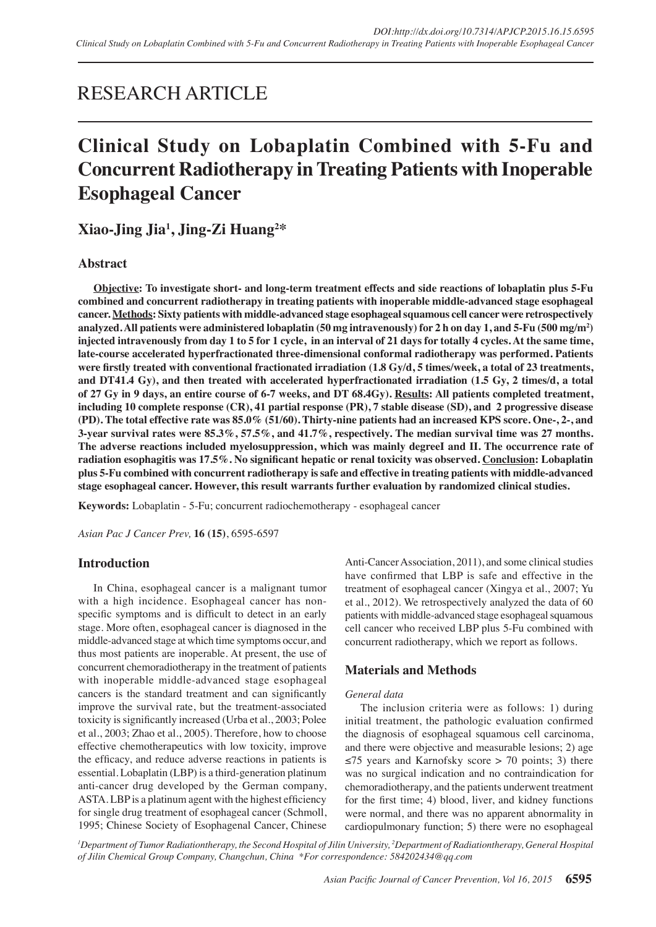## RESEARCH ARTICLE

# **Clinical Study on Lobaplatin Combined with 5-Fu and Concurrent Radiotherapy in Treating Patients with Inoperable Esophageal Cancer**

**Xiao-Jing Jia1 , Jing-Zi Huang2 \*** 

## **Abstract**

**Objective: To investigate short- and long-term treatment effects and side reactions of lobaplatin plus 5-Fu combined and concurrent radiotherapy in treating patients with inoperable middle-advanced stage esophageal cancer. Methods: Sixty patients with middle-advanced stage esophageal squamous cell cancer were retrospectively analyzed. All patients were administered lobaplatin (50 mg intravenously) for 2 h on day 1, and 5-Fu (500 mg/m2 ) injected intravenously from day 1 to 5 for 1 cycle, in an interval of 21 days for totally 4 cycles. At the same time, late-course accelerated hyperfractionated three-dimensional conformal radiotherapy was performed. Patients were firstly treated with conventional fractionated irradiation (1.8 Gy/d, 5 times/week, a total of 23 treatments, and DT41.4 Gy), and then treated with accelerated hyperfractionated irradiation (1.5 Gy, 2 times/d, a total of 27 Gy in 9 days, an entire course of 6-7 weeks, and DT 68.4Gy). Results: All patients completed treatment, including 10 complete response (CR), 41 partial response (PR), 7 stable disease (SD), and 2 progressive disease (PD). The total effective rate was 85.0% (51/60). Thirty-nine patients had an increased KPS score. One-, 2-, and 3-year survival rates were 85.3%, 57.5%, and 41.7%, respectively. The median survival time was 27 months. The adverse reactions included myelosuppression, which was mainly degreeⅠ and Ⅱ. The occurrence rate of radiation esophagitis was 17.5%. No significant hepatic or renal toxicity was observed. Conclusion: Lobaplatin plus 5-Fu combined with concurrent radiotherapy is safe and effective in treating patients with middle-advanced stage esophageal cancer. However, this result warrants further evaluation by randomized clinical studies.**

**Keywords:** Lobaplatin - 5-Fu; concurrent radiochemotherapy - esophageal cancer

*Asian Pac J Cancer Prev,* **16 (15)**, 6595-6597

## **Introduction**

In China, esophageal cancer is a malignant tumor with a high incidence. Esophageal cancer has nonspecific symptoms and is difficult to detect in an early stage. More often, esophageal cancer is diagnosed in the middle-advanced stage at which time symptoms occur, and thus most patients are inoperable. At present, the use of concurrent chemoradiotherapy in the treatment of patients with inoperable middle-advanced stage esophageal cancers is the standard treatment and can significantly improve the survival rate, but the treatment-associated toxicity is significantly increased (Urba et al., 2003; Polee et al., 2003; Zhao et al., 2005). Therefore, how to choose effective chemotherapeutics with low toxicity, improve the efficacy, and reduce adverse reactions in patients is essential. Lobaplatin (LBP) is a third-generation platinum anti-cancer drug developed by the German company, ASTA. LBP is a platinum agent with the highest efficiency for single drug treatment of esophageal cancer (Schmoll, 1995; Chinese Society of Esophagenal Cancer, Chinese Anti-Cancer Association, 2011), and some clinical studies have confirmed that LBP is safe and effective in the treatment of esophageal cancer (Xingya et al., 2007; Yu et al., 2012). We retrospectively analyzed the data of 60 patients with middle-advanced stage esophageal squamous cell cancer who received LBP plus 5-Fu combined with concurrent radiotherapy, which we report as follows.

## **Materials and Methods**

#### *General data*

The inclusion criteria were as follows: 1) during initial treatment, the pathologic evaluation confirmed the diagnosis of esophageal squamous cell carcinoma, and there were objective and measurable lesions; 2) age ≤75 years and Karnofsky score > 70 points; 3) there was no surgical indication and no contraindication for chemoradiotherapy, and the patients underwent treatment for the first time; 4) blood, liver, and kidney functions were normal, and there was no apparent abnormality in cardiopulmonary function; 5) there were no esophageal

*1 Department of Tumor Radiationtherapy, the Second Hospital of Jilin University, 2 Department of Radiationtherapy, General Hospital of Jilin Chemical Group Company, Changchun, China \*For correspondence: 584202434@qq.com*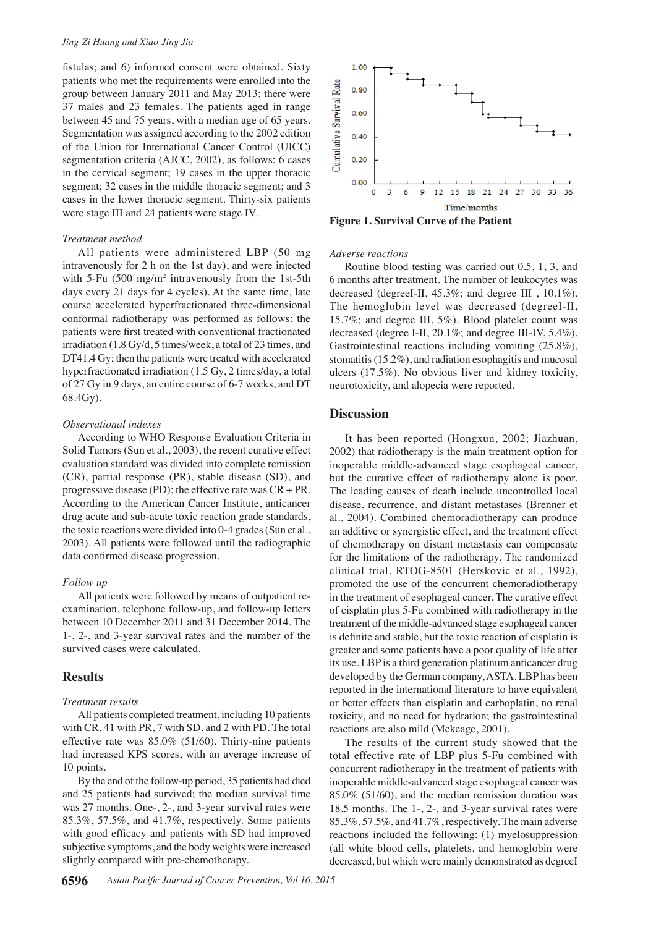fistulas; and 6) informed consent were obtained. Sixty patients who met the requirements were enrolled into the group between January 2011 and May 2013; there were 37 males and 23 females. The patients aged in range between 45 and 75 years, with a median age of 65 years. Segmentation was assigned according to the 2002 edition of the Union for International Cancer Control (UICC) segmentation criteria (AJCC, 2002), as follows: 6 cases in the cervical segment; 19 cases in the upper thoracic segment; 32 cases in the middle thoracic segment; and 3 cases in the lower thoracic segment. Thirty-six patients were stage Ⅲ and 24 patients were stage Ⅳ.

#### *Treatment method*

All patients were administered LBP (50 mg intravenously for 2 h on the 1st day), and were injected with 5-Fu  $(500 \text{ mg/m}^2 \text{ intravenously from the 1st-5th})$ days every 21 days for 4 cycles). At the same time, late course accelerated hyperfractionated three-dimensional conformal radiotherapy was performed as follows: the patients were first treated with conventional fractionated irradiation (1.8 Gy/d, 5 times/week, a total of 23 times, and DT41.4 Gy; then the patients were treated with accelerated hyperfractionated irradiation (1.5 Gy, 2 times/day, a total of 27 Gy in 9 days, an entire course of 6-7 weeks, and DT 68.4Gy).

#### *Observational indexes*

According to WHO Response Evaluation Criteria in Solid Tumors (Sun et al., 2003), the recent curative effect evaluation standard was divided into complete remission (CR), partial response (PR), stable disease (SD), and progressive disease (PD); the effective rate was CR + PR. According to the American Cancer Institute, anticancer drug acute and sub-acute toxic reaction grade standards, the toxic reactions were divided into 0-4 grades (Sun et al., 2003). All patients were followed until the radiographic data confirmed disease progression.

#### *Follow up*

All patients were followed by means of outpatient reexamination, telephone follow-up, and follow-up letters between 10 December 2011 and 31 December 2014. The 1-, 2-, and 3-year survival rates and the number of the survived cases were calculated.

#### **Results**

#### *Treatment results*

All patients completed treatment, including 10 patients with CR, 41 with PR, 7 with SD, and 2 with PD. The total effective rate was 85.0% (51/60). Thirty-nine patients had increased KPS scores, with an average increase of 10 points.

By the end of the follow-up period, 35 patients had died and 25 patients had survived; the median survival time was 27 months. One-, 2-, and 3-year survival rates were 85.3%, 57.5%, and 41.7%, respectively. Some patients with good efficacy and patients with SD had improved subjective symptoms, and the body weights were increased slightly compared with pre-chemotherapy.



**Figure 1. Survival Curve of the Patient**

#### *Adverse reactions*

Routine blood testing was carried out 0.5, 1, 3, and 6 months after treatment. The number of leukocytes was decreased (degreeⅠ-Ⅱ, 45.3%; and degree Ⅲ , 10.1%). The hemoglobin level was decreased (degreeⅠ-Ⅱ, 15.7%; and degree Ⅲ, 5%). Blood platelet count was decreased (degree Ⅰ-Ⅱ, 20.1%; and degree Ⅲ-IV, 5.4%). Gastrointestinal reactions including vomiting (25.8%), stomatitis (15.2%), and radiation esophagitis and mucosal ulcers (17.5%). No obvious liver and kidney toxicity, neurotoxicity, and alopecia were reported.

## **Discussion**

It has been reported (Hongxun, 2002; Jiazhuan, 2002) that radiotherapy is the main treatment option for inoperable middle-advanced stage esophageal cancer, but the curative effect of radiotherapy alone is poor. The leading causes of death include uncontrolled local disease, recurrence, and distant metastases (Brenner et al., 2004). Combined chemoradiotherapy can produce an additive or synergistic effect, and the treatment effect of chemotherapy on distant metastasis can compensate for the limitations of the radiotherapy. The randomized clinical trial, RTOG-8501 (Herskovic et al., 1992), promoted the use of the concurrent chemoradiotherapy in the treatment of esophageal cancer. The curative effect of cisplatin plus 5-Fu combined with radiotherapy in the treatment of the middle-advanced stage esophageal cancer is definite and stable, but the toxic reaction of cisplatin is greater and some patients have a poor quality of life after its use. LBP is a third generation platinum anticancer drug developed by the German company, ASTA. LBP has been reported in the international literature to have equivalent or better effects than cisplatin and carboplatin, no renal toxicity, and no need for hydration; the gastrointestinal reactions are also mild (Mckeage, 2001).

The results of the current study showed that the total effective rate of LBP plus 5-Fu combined with concurrent radiotherapy in the treatment of patients with inoperable middle-advanced stage esophageal cancer was 85.0% (51/60), and the median remission duration was 18.5 months. The 1-, 2-, and 3-year survival rates were 85.3%, 57.5%, and 41.7%, respectively. The main adverse reactions included the following: (1) myelosuppression (all white blood cells, platelets, and hemoglobin were decreased, but which were mainly demonstrated as degreeⅠ